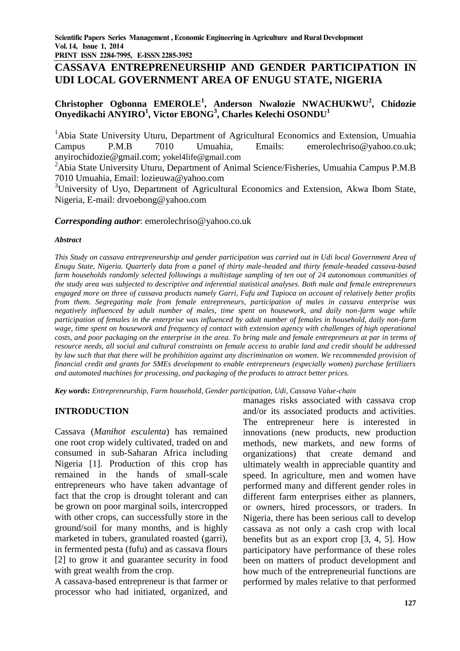**PRINT ISSN 2284-7995, E-ISSN 2285-3952** 

# **CASSAVA ENTREPRENEURSHIP AND GENDER PARTICIPATION IN UDI LOCAL GOVERNMENT AREA OF ENUGU STATE, NIGERIA**

# **Christopher Ogbonna EMEROLE<sup>1</sup> , Anderson Nwalozie NWACHUKWU<sup>2</sup> , Chidozie Onyedikachi ANYIRO<sup>1</sup> , Victor EBONG<sup>3</sup> , Charles Kelechi OSONDU<sup>1</sup>**

<sup>1</sup>Abia State University Uturu, Department of Agricultural Economics and Extension, Umuahia Campus P.M.B 7010 Umuahia, Emails: [emerolechriso@yahoo.co.uk;](mailto:emerolechriso@yahoo.co.uk) [anyirochidozie@gmail.com;](mailto:anyirochidozie@gmail.com) [yokel4life@gmail.com](mailto:yokel4life@gmail.com)

<sup>2</sup>Abia State University Uturu, Department of Animal Science/Fisheries, Umuahia Campus P.M.B 7010 Umuahia, Email: [lozieuwa@yahoo.com](mailto:lozieuwa@yahoo.com)

<sup>3</sup>University of Uyo, Department of Agricultural Economics and Extension, Akwa Ibom State, Nigeria, E-mail: [drvoebong@yahoo.com](mailto:drvoebong@yahoo.com)

#### *Corresponding author*: [emerolechriso@yahoo.co.uk](mailto:emerolechriso@yahoo.co.uk)

#### *Abstract*

*This Study on cassava entrepreneurship and gender participation was carried out in Udi local Government Area of Enugu State, Nigeria. Quarterly data from a panel of thirty male-headed and thirty female-headed cassava-based farm households randomly selected followings a multistage sampling of ten out of 24 autonomous communities of the study area was subjected to descriptive and inferential statistical analyses. Both male and female entrepreneurs engaged more on three of cassava products namely Garri, Fufu and Tapioca on account of relatively better profits from them. Segregating male from female entrepreneurs, participation of males in cassava enterprise was negatively influenced by adult number of males, time spent on housework, and daily non-farm wage while participation of females in the enterprise was influenced by adult number of females in household, daily non-farm wage, time spent on housework and frequency of contact with extension agency with challenges of high operational costs, and poor packaging on the enterprise in the area. To bring male and female entrepreneurs at par in terms of resource needs, all social and cultural constraints on female access to arable land and credit should be addressed by law such that that there will be prohibition against any discrimination on women. We recommended provision of financial credit and grants for SMEs development to enable entrepreneurs (especially women) purchase fertilizers and automated machines for processing, and packaging of the products to attract better prices.*

*Key words***:** *Entrepreneurship, Farm household, Gender participation, Udi, Cassava Value-chain*

# **INTRODUCTION**

Cassava (*Manihot esculenta*) has remained one root crop widely cultivated, traded on and consumed in sub-Saharan Africa including Nigeria [1]. Production of this crop has remained in the hands of small-scale entrepreneurs who have taken advantage of fact that the crop is drought tolerant and can be grown on poor marginal soils, intercropped with other crops, can successfully store in the ground/soil for many months, and is highly marketed in tubers, granulated roasted (garri), in fermented pesta (fufu) and as cassava flours [2] to grow it and guarantee security in food with great wealth from the crop.

A cassava-based entrepreneur is that farmer or processor who had initiated, organized, and manages risks associated with cassava crop and/or its associated products and activities. The entrepreneur here is interested in innovations (new products, new production methods, new markets, and new forms of organizations) that create demand and ultimately wealth in appreciable quantity and speed. In agriculture, men and women have performed many and different gender roles in different farm enterprises either as planners, or owners, hired processors, or traders. In Nigeria, there has been serious call to develop cassava as not only a cash crop with local benefits but as an export crop [3, 4, 5]. How participatory have performance of these roles been on matters of product development and how much of the entrepreneurial functions are performed by males relative to that performed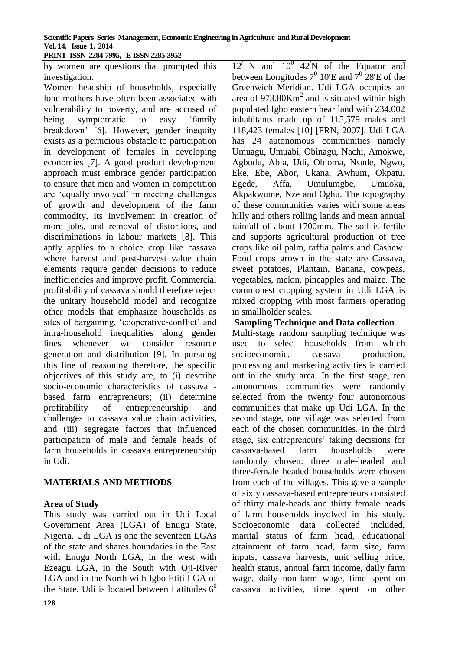#### **Scientific Papers Series Management, Economic Engineering in Agriculture and Rural Development Vol. 14, Issue 1, 2014 PRINT ISSN 2284-7995, E-ISSN 2285-3952**

by women are questions that prompted this investigation.

Women headship of households, especially lone mothers have often been associated with vulnerability to poverty, and are accused of being symptomatic to easy 'family breakdown' [6]. However, gender inequity exists as a pernicious obstacle to participation in development of females in developing economies [7]. A good product development approach must embrace gender participation to ensure that men and women in competition are 'equally involved' in meeting challenges of growth and development of the farm commodity, its involvement in creation of more jobs, and removal of distortions, and discriminations in labour markets [8]. This aptly applies to a choice crop like cassava where harvest and post-harvest value chain elements require gender decisions to reduce inefficiencies and improve profit. Commercial profitability of cassava should therefore reject the unitary household model and recognize other models that emphasize households as sites of bargaining, 'cooperative-conflict' and intra-household inequalities along gender lines whenever we consider resource generation and distribution [9]. In pursuing this line of reasoning therefore, the specific objectives of this study are, to (i) describe socio-economic characteristics of cassava based farm entrepreneurs; (ii) determine profitability of entrepreneurship and challenges to cassava value chain activities, and (iii) segregate factors that influenced participation of male and female heads of farm households in cassava entrepreneurship in Udi.

# **MATERIALS AND METHODS**

# **Area of Study**

This study was carried out in Udi Local Government Area (LGA) of Enugu State, Nigeria. Udi LGA is one the seventeen LGAs of the state and shares boundaries in the East with Enugu North LGA, in the west with Ezeagu LGA, in the South with Oji-River LGA and in the North with Igbo Etiti LGA of the State. Udi is located between Latitudes  $6^0$ 

 $12^7$  N and  $10^0$   $42^7$ N of the Equator and between Longitudes  $7^0$   $10^{\prime}$ E and  $7^0$   $28^{\prime}$ E of the Greenwich Meridian. Udi LGA occupies an area of  $973.80$ Km<sup>2</sup> and is situated within high populated Igbo eastern heartland with 234,002 inhabitants made up of 115,579 males and 118,423 females [10] [FRN, 2007]. Udi LGA has 24 autonomous communities namely Umuagu, Umuabi, Obinagu, Nachi, Amokwe, Agbudu, Abia, Udi, Obioma, Nsude, Ngwo, Eke, Ebe, Abor, Ukana, Awhum, Okpatu, Egede, Affa, Umulumgbe, Umuoka, Akpakwume, Nze and Oghu. The topography of these communities varies with some areas hilly and others rolling lands and mean annual rainfall of about 1700mm. The soil is fertile and supports agricultural production of tree crops like oil palm, raffia palms and Cashew. Food crops grown in the state are Cassava, sweet potatoes, Plantain, Banana, cowpeas, vegetables, melon, pineapples and maize. The commonest cropping system in Udi LGA is mixed cropping with most farmers operating in smallholder scales.

### **Sampling Technique and Data collection**

Multi-stage random sampling technique was used to select households from which socioeconomic, cassava production, processing and marketing activities is carried out in the study area. In the first stage, ten autonomous communities were randomly selected from the twenty four autonomous communities that make up Udi LGA. In the second stage, one village was selected from each of the chosen communities. In the third stage, six entrepreneurs' taking decisions for cassava-based farm households were randomly chosen: three male-headed and three-female headed households were chosen from each of the villages. This gave a sample of sixty cassava-based entrepreneurs consisted of thirty male-heads and thirty female heads of farm households involved in this study. Socioeconomic data collected included, marital status of farm head, educational attainment of farm head, farm size, farm inputs, cassava harvests, unit selling price, health status, annual farm income, daily farm wage, daily non-farm wage, time spent on cassava activities, time spent on other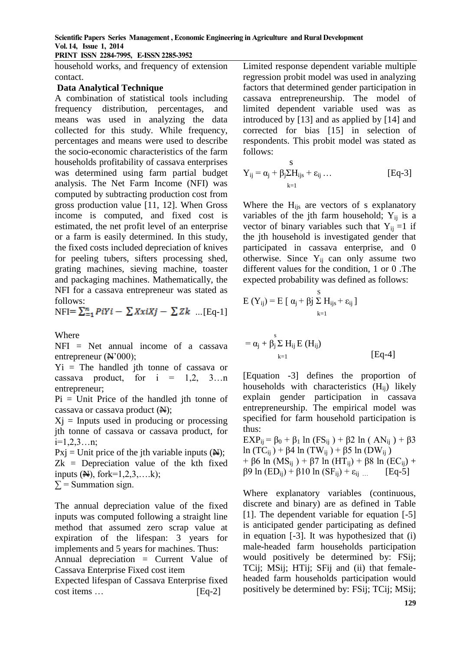**PRINT ISSN 2284-7995, E-ISSN 2285-3952** 

household works, and frequency of extension contact.

### **Data Analytical Technique**

A combination of statistical tools including frequency distribution, percentages, and means was used in analyzing the data collected for this study. While frequency, percentages and means were used to describe the socio-economic characteristics of the farm households profitability of cassava enterprises was determined using farm partial budget analysis. The Net Farm Income (NFI) was computed by subtracting production cost from gross production value [11, 12]. When Gross income is computed, and fixed cost is estimated, the net profit level of an enterprise or a farm is easily determined. In this study, the fixed costs included depreciation of knives for peeling tubers, sifters processing shed, grating machines, sieving machine, toaster and packaging machines. Mathematically, the NFI for a cassava entrepreneur was stated as follows:

 $NFI = \sum_{i=1}^{n} PiYi - \sum XxiXj - \sum Zk$  ... [Eq-1]

Where

NFI = Net annual income of a cassava entrepreneur (N'000);

 $Y_i$  = The handled jth tonne of cassava or cassava product, for  $i = 1,2, 3...n$ entrepreneur;

 $Pi =$  Unit Price of the handled jth tonne of cassava or cassava product  $(\mathbb{N});$ 

 $X<sub>i</sub>$  = Inputs used in producing or processing jth tonne of cassava or cassava product, for  $i=1,2,3...n;$ 

 $Pxi = Unit$  price of the jth variable inputs  $(Ai)$ ;  $Zk = Depreciation value of the  $k$ th fixed$ inputs  $(**A**)$ , fork=1,2,3,...k);  $\Sigma$  = Summation sign.

The annual depreciation value of the fixed inputs was computed following a straight line method that assumed zero scrap value at expiration of the lifespan: 3 years for implements and 5 years for machines. Thus:

Annual depreciation = Current Value of Cassava Enterprise Fixed cost item

Expected lifespan of Cassava Enterprise fixed cost items … [Eq-2]

Limited response dependent variable multiple regression probit model was used in analyzing factors that determined gender participation in cassava entrepreneurship. The model of limited dependent variable used was as introduced by [13] and as applied by [14] and corrected for bias [15] in selection of respondents. This probit model was stated as follows:

$$
Y_{ij} = \alpha_j + \beta_j \Sigma H_{ijs} + \epsilon_{ij} \dots
$$
 [Eq-3]

Where the  $H_{ijs}$  are vectors of s explanatory variables of the jth farm household;  $Y_{ij}$  is a vector of binary variables such that  $Y_{ii} = 1$  if the jth household is investigated gender that participated in cassava enterprise, and 0 otherwise. Since  $Y_{ii}$  can only assume two different values for the condition, 1 or 0 .The expected probability was defined as follows:

$$
E(Y_{ij}) = E [ \alpha_j + \beta_j \sum_{k=1}^{S} H_{ijs} + \epsilon_{ij} ]
$$

$$
=\alpha_j+\beta_j\sum\limits_{k=1}^sH_{ij}\,E\left(H_{ij}\right)\\ \qquad \qquad \text{[Eq-4]}
$$

[Equation -3] defines the proportion of households with characteristics  $(H_{ii})$  likely explain gender participation in cassava entrepreneurship. The empirical model was specified for farm household participation is thus:

EXP<sub>ij</sub> = β<sub>0</sub> + β<sub>1</sub> ln (FS<sub>ij</sub>) + β2 ln ( AN<sub>ij</sub>) + β3 ln (TC<sub>ij</sub>) + β4 ln (TW<sub>ij</sub>) + β5 ln (DW<sub>ij</sub>) + β6 ln (MS<sub>ii</sub>) + β7 ln (HT<sub>ii</sub>) + β8 ln (EC<sub>ii</sub>) +  $β9 \ln (ED_{ij}) + β10 \ln (SF_{ij}) + ε_{ij}$  ... [Eq-5]

Where explanatory variables (continuous, discrete and binary) are as defined in Table [1]. The dependent variable for equation [-5] is anticipated gender participating as defined in equation [-3]. It was hypothesized that (i) male-headed farm households participation would positively be determined by: FSij; TCij; MSij; HTij; SFij and (ii) that femaleheaded farm households participation would positively be determined by: FSij; TCij; MSij;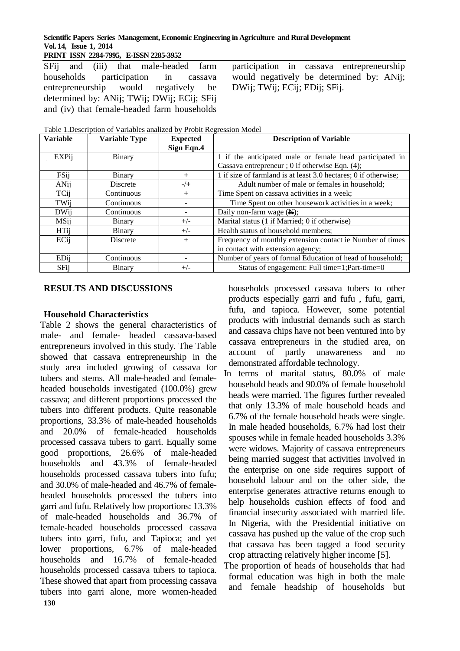**Scientific Papers Series Management, Economic Engineering in Agriculture and Rural Development Vol. 14, Issue 1, 2014 PRINT ISSN 2284-7995, E-ISSN 2285-3952** 

SFij and (iii) that male-headed farm households participation in cassava entrepreneurship would negatively be determined by: ANij; TWij; DWij; ECij; SFij and (iv) that female-headed farm households

participation in cassava entrepreneurship would negatively be determined by: ANij; DWij; TWij; ECij; EDij; SFij.

Table 1.Description of Variables analized by Probit Regression Model

| <b>Variable</b> | <b>Variable Type</b> | <b>Expected</b> | <b>Description of Variable</b>                                  |  |  |
|-----------------|----------------------|-----------------|-----------------------------------------------------------------|--|--|
|                 |                      | Sign Eqn.4      |                                                                 |  |  |
| EXPij           | Binary               |                 | 1 if the anticipated male or female head participated in        |  |  |
|                 |                      |                 | Cassava entrepreneur ; 0 if otherwise Eqn. (4);                 |  |  |
| FSij            | Binary               | $+$             | 1 if size of farmland is at least 3.0 hectares; 0 if otherwise; |  |  |
| ANij            | <b>Discrete</b>      | $-/+$           | Adult number of male or females in household;                   |  |  |
| TCij            | Continuous           | $^{+}$          | Time Spent on cassava activities in a week;                     |  |  |
| TWij            | Continuous           |                 | Time Spent on other housework activities in a week;             |  |  |
| <b>DWij</b>     | Continuous           |                 | Daily non-farm wage $(\mathbb{H});$                             |  |  |
| MSij            | Binary               | $+/-$           | Marital status (1 if Married; 0 if otherwise)                   |  |  |
| <b>HTij</b>     | Binary               | $+/-$           | Health status of household members;                             |  |  |
| ECij            | <b>Discrete</b>      | $^{+}$          | Frequency of monthly extension contact ie Number of times       |  |  |
|                 |                      |                 | in contact with extension agency;                               |  |  |
| EDij            | Continuous           |                 | Number of years of formal Education of head of household;       |  |  |
| SFij            | Binary               | $+/-$           | Status of engagement: Full time=1;Part-time=0                   |  |  |

#### **RESULTS AND DISCUSSIONS**

#### **Household Characteristics**

**130** Table 2 shows the general characteristics of male- and female- headed cassava-based entrepreneurs involved in this study. The Table showed that cassava entrepreneurship in the study area included growing of cassava for tubers and stems. All male-headed and femaleheaded households investigated (100.0%) grew cassava; and different proportions processed the tubers into different products. Quite reasonable proportions, 33.3% of male-headed households and 20.0% of female-headed households processed cassava tubers to garri. Equally some good proportions, 26.6% of male-headed households and 43.3% of female-headed households processed cassava tubers into fufu; and 30.0% of male-headed and 46.7% of femaleheaded households processed the tubers into garri and fufu. Relatively low proportions: 13.3% of male-headed households and 36.7% of female-headed households processed cassava tubers into garri, fufu, and Tapioca; and yet lower proportions, 6.7% of male-headed households and 16.7% of female-headed households processed cassava tubers to tapioca. These showed that apart from processing cassava tubers into garri alone, more women-headed households processed cassava tubers to other products especially garri and fufu , fufu, garri, fufu, and tapioca. However, some potential products with industrial demands such as starch and cassava chips have not been ventured into by cassava entrepreneurs in the studied area, on account of partly unawareness and no demonstrated affordable technology.

In terms of marital status, 80.0% of male household heads and 90.0% of female household heads were married. The figures further revealed that only 13.3% of male household heads and 6.7% of the female household heads were single. In male headed households, 6.7% had lost their spouses while in female headed households 3.3% were widows. Majority of cassava entrepreneurs being married suggest that activities involved in the enterprise on one side requires support of household labour and on the other side, the enterprise generates attractive returns enough to help households cushion effects of food and financial insecurity associated with married life. In Nigeria, with the Presidential initiative on cassava has pushed up the value of the crop such that cassava has been tagged a food security crop attracting relatively higher income [5].

The proportion of heads of households that had formal education was high in both the male and female headship of households but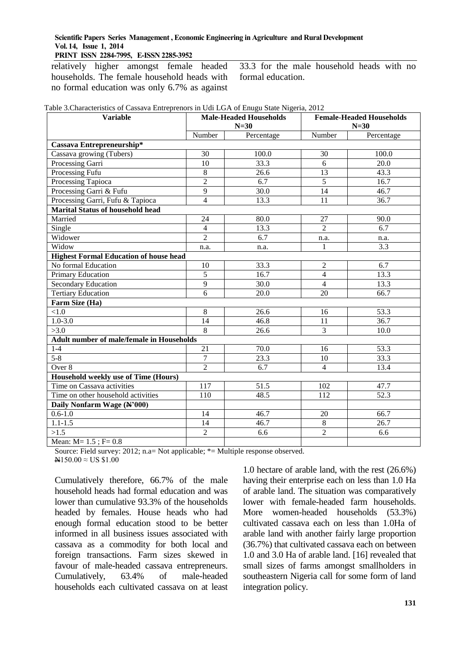### **PRINT ISSN 2284-7995, E-ISSN 2285-3952**

relatively higher amongst female headed households. The female household heads with no formal education was only 6.7% as against

33.3 for the male household heads with no formal education.

| Table 3. Characteristics of Cassava Entreprenors in Udi LGA of Enugu State Nigeria, 2012 |  |  |  |
|------------------------------------------------------------------------------------------|--|--|--|
|                                                                                          |  |  |  |

| <b>Variable</b>                                  | <b>Male-Headed Households</b> |                   | <b>Female-Headed Households</b> |                   |  |  |  |
|--------------------------------------------------|-------------------------------|-------------------|---------------------------------|-------------------|--|--|--|
|                                                  | $N=30$                        |                   | $N=30$                          |                   |  |  |  |
|                                                  | Number                        | Percentage        | Number                          | Percentage        |  |  |  |
| Cassava Entrepreneurship*                        |                               |                   |                                 |                   |  |  |  |
| Cassava growing (Tubers)                         | 30                            | 100.0             | 30                              | 100.0             |  |  |  |
| Processing Garri                                 | 10                            | 33.3              | 6                               | 20.0              |  |  |  |
| Processing Fufu                                  | 8                             | 26.6              | 13                              | 43.3              |  |  |  |
| Processing Tapioca                               | $\overline{2}$                | 6.7               | 5                               | 16.7              |  |  |  |
| Processing Garri & Fufu                          | $\overline{9}$                | $\overline{30.0}$ | 14                              | 46.7              |  |  |  |
| Processing Garri, Fufu & Tapioca                 | $\overline{4}$                | 13.3              | 11                              | 36.7              |  |  |  |
| <b>Marital Status of household head</b>          |                               |                   |                                 |                   |  |  |  |
| Married                                          | 24                            | 80.0              | 27                              | 90.0              |  |  |  |
| Single                                           | $\overline{4}$                | 13.3              | $\overline{2}$                  | $\overline{6.7}$  |  |  |  |
| Widower                                          | $\overline{2}$                | 6.7               | n.a.                            | n.a.              |  |  |  |
| Widow                                            | n.a.                          | n.a.              | $\mathbf{1}$                    | 3.3               |  |  |  |
| <b>Highest Formal Education of house head</b>    |                               |                   |                                 |                   |  |  |  |
| No formal Education                              | 10                            | 33.3              | $\overline{2}$                  | 6.7               |  |  |  |
| Primary Education                                | $\overline{5}$                | 16.7              | $\overline{4}$                  | 13.3              |  |  |  |
| Secondary Education                              | 9                             | 30.0              | $\overline{4}$                  | 13.3              |  |  |  |
| <b>Tertiary Education</b>                        | $\overline{6}$                | $\overline{20.0}$ | $\overline{20}$                 | 66.7              |  |  |  |
| Farm Size (Ha)                                   |                               |                   |                                 |                   |  |  |  |
| < 1.0                                            | $\overline{8}$                | 26.6              | 16                              | $\overline{53.3}$ |  |  |  |
| $1.0 - 3.0$                                      | $\overline{14}$               | 46.8              | 11                              | 36.7              |  |  |  |
| >3.0                                             | $\overline{8}$                | 26.6              | 3                               | 10.0              |  |  |  |
| <b>Adult number of male/female in Households</b> |                               |                   |                                 |                   |  |  |  |
| $1-4$                                            | 21                            | 70.0              | 16                              | 53.3              |  |  |  |
| $5 - 8$                                          | $\tau$                        | 23.3              | 10                              | 33.3              |  |  |  |
| Over 8                                           | $\overline{2}$                | 6.7               | $\overline{4}$                  | 13.4              |  |  |  |
| <b>Household weekly use of Time (Hours)</b>      |                               |                   |                                 |                   |  |  |  |
| Time on Cassava activities                       | 117                           | 51.5              | 102                             | 47.7              |  |  |  |
| Time on other household activities               | 110                           | 48.5              | 112                             | $\overline{52.3}$ |  |  |  |
| Daily Nonfarm Wage (N'000)                       |                               |                   |                                 |                   |  |  |  |
| $0.6 - 1.0$                                      | 14                            | 46.7              | 20                              | 66.7              |  |  |  |
| $1.1 - 1.5$                                      | 14                            | 46.7              | $\,8\,$                         | 26.7              |  |  |  |
| >1.5                                             | $\overline{2}$                | 6.6               | $\overline{2}$                  | 6.6               |  |  |  |
| Mean: $M=1.5$ ; $F=0.8$                          |                               |                   |                                 |                   |  |  |  |

Source: Field survey: 2012; n.a= Not applicable; \*= Multiple response observed.  $N150.00 \approx US $1.00$ 

Cumulatively therefore, 66.7% of the male household heads had formal education and was lower than cumulative 93.3% of the households headed by females. House heads who had enough formal education stood to be better informed in all business issues associated with cassava as a commodity for both local and foreign transactions. Farm sizes skewed in favour of male-headed cassava entrepreneurs. Cumulatively, 63.4% of male-headed households each cultivated cassava on at least

1.0 hectare of arable land, with the rest (26.6%) having their enterprise each on less than 1.0 Ha of arable land. The situation was comparatively lower with female-headed farm households. More women-headed households (53.3%) cultivated cassava each on less than 1.0Ha of arable land with another fairly large proportion (36.7%) that cultivated cassava each on between 1.0 and 3.0 Ha of arable land. [16] revealed that small sizes of farms amongst smallholders in southeastern Nigeria call for some form of land integration policy.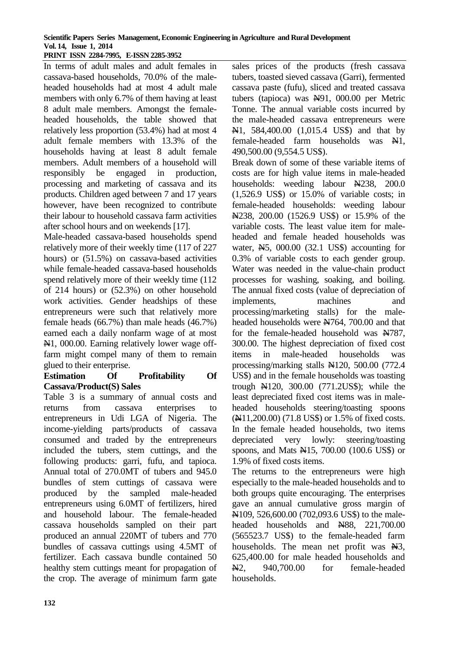#### **Scientific Papers Series Management, Economic Engineering in Agriculture and Rural Development Vol. 14, Issue 1, 2014 PRINT ISSN 2284-7995, E-ISSN 2285-3952**

In terms of adult males and adult females in cassava-based households, 70.0% of the maleheaded households had at most 4 adult male members with only 6.7% of them having at least 8 adult male members. Amongst the femaleheaded households, the table showed that relatively less proportion (53.4%) had at most 4 adult female members with 13.3% of the households having at least 8 adult female members. Adult members of a household will responsibly be engaged in production, processing and marketing of cassava and its products. Children aged between 7 and 17 years however, have been recognized to contribute their labour to household cassava farm activities after school hours and on weekends [17].

Male-headed cassava-based households spend relatively more of their weekly time (117 of 227 hours) or (51.5%) on cassava-based activities while female-headed cassava-based households spend relatively more of their weekly time (112 of 214 hours) or (52.3%) on other household work activities. Gender headships of these entrepreneurs were such that relatively more female heads (66.7%) than male heads (46.7%) earned each a daily nonfarm wage of at most N1, 000.00. Earning relatively lower wage offfarm might compel many of them to remain glued to their enterprise.

## **Estimation Of Profitability Of Cassava/Product(S) Sales**

Table 3 is a summary of annual costs and returns from cassava enterprises to entrepreneurs in Udi LGA of Nigeria. The income-yielding parts/products of cassava consumed and traded by the entrepreneurs included the tubers, stem cuttings, and the following products: garri, fufu, and tapioca. Annual total of 270.0MT of tubers and 945.0 bundles of stem cuttings of cassava were produced by the sampled male-headed entrepreneurs using 6.0MT of fertilizers, hired and household labour. The female-headed cassava households sampled on their part produced an annual 220MT of tubers and 770 bundles of cassava cuttings using 4.5MT of fertilizer. Each cassava bundle contained 50 healthy stem cuttings meant for propagation of the crop. The average of minimum farm gate

**132**

sales prices of the products (fresh cassava tubers, toasted sieved cassava (Garri), fermented cassava paste (fufu), sliced and treated cassava tubers (tapioca) was  $H91$ , 000.00 per Metric Tonne. The annual variable costs incurred by the male-headed cassava entrepreneurs were N1, 584,400.00 (1,015.4 US\$) and that by female-headed farm households was N1, 490,500.00 (9,554.5 US\$).

Break down of some of these variable items of costs are for high value items in male-headed households: weeding labour News, 200.0 (1,526.9 US\$) or 15.0% of variable costs; in female-headed households: weeding labour N238, 200.00 (1526.9 US\$) or 15.9% of the variable costs. The least value item for maleheaded and female headed households was water, N5, 000.00 (32.1 US\$) accounting for 0.3% of variable costs to each gender group. Water was needed in the value-chain product processes for washing, soaking, and boiling. The annual fixed costs (value of depreciation of implements, machines and processing/marketing stalls) for the maleheaded households were  $\cancel{\text{N764}}$ , 700.00 and that for the female-headed household was N787, 300.00. The highest depreciation of fixed cost items in male-headed households was processing/marking stalls N120, 500.00 (772.4 US\$) and in the female households was toasting trough N120, 300.00 (771.2US\$); while the least depreciated fixed cost items was in maleheaded households steering/toasting spoons (N11,200.00) (71.8 US\$) or 1.5% of fixed costs. In the female headed households, two items depreciated very lowly: steering/toasting spoons, and Mats N15, 700.00 (100.6 US\$) or 1.9% of fixed costs items.

The returns to the entrepreneurs were high especially to the male-headed households and to both groups quite encouraging. The enterprises gave an annual cumulative gross margin of N109, 526,600.00 (702,093.6 US\$) to the maleheaded households and News, 221,700.00 (565523.7 US\$) to the female-headed farm households. The mean net profit was  $\mathbb{H}3$ , 625,400.00 for male headed households and N2, 940,700.00 for female-headed households.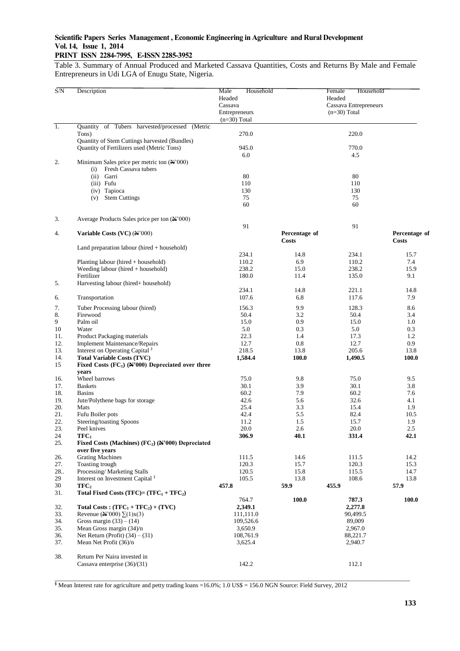# **PRINT ISSN 2284-7995, E-ISSN 2285-3952**

Table 3. Summary of Annual Produced and Marketed Cassava Quantities, Costs and Returns By Male and Female Entrepreneurs in Udi LGA of Enugu State, Nigeria.

| S/N              | Description                                                      | Male<br>Household |               | Female<br>Household   |               |
|------------------|------------------------------------------------------------------|-------------------|---------------|-----------------------|---------------|
|                  |                                                                  | Headed            |               | Headed                |               |
|                  |                                                                  | Cassava           |               |                       |               |
|                  |                                                                  |                   |               | Cassava Entrepreneurs |               |
|                  |                                                                  | Entrepreneurs     |               | $(n=30)$ Total        |               |
|                  |                                                                  | $(n=30)$ Total    |               |                       |               |
| $\overline{1}$ . | Quantity of Tubers harvested/processed (Metric                   |                   |               |                       |               |
|                  | Tons)                                                            | 270.0             |               | 220.0                 |               |
|                  | Quantity of Stem Cuttings harvested (Bundles)                    |                   |               |                       |               |
|                  | Quantity of Fertilizers used (Metric Tons)                       | 945.0             |               | 770.0                 |               |
|                  |                                                                  | 6.0               |               | 4.5                   |               |
| 2.               | Minimum Sales price per metric ton $(\mathbb{N}^2)000$           |                   |               |                       |               |
|                  | Fresh Cassava tubers<br>(i)                                      |                   |               |                       |               |
|                  | (ii) Garri                                                       | 80                |               | 80                    |               |
|                  | (iii) Fufu                                                       | 110               |               | 110                   |               |
|                  | (iv) Tapioca                                                     | 130               |               | 130                   |               |
|                  | <b>Stem Cuttings</b><br>(v)                                      | 75                |               | 75                    |               |
|                  |                                                                  | 60                |               | 60                    |               |
|                  |                                                                  |                   |               |                       |               |
|                  |                                                                  |                   |               |                       |               |
| 3.               | Average Products Sales price per ton (N'000)                     |                   |               |                       |               |
|                  |                                                                  | 91                |               | 91                    |               |
| 4.               | Variable Costs (VC) (N'000)                                      |                   | Percentage of |                       | Percentage of |
|                  |                                                                  |                   | <b>Costs</b>  |                       | <b>Costs</b>  |
|                  | Land preparation labour (hired + household)                      |                   |               |                       |               |
|                  |                                                                  | 234.1             | 14.8          | 234.1                 | 15.7          |
|                  | Planting labour (hired + household)                              | 110.2             | 6.9           | 110.2                 | 7.4           |
|                  | Weeding labour (hired + household)                               | 238.2             | 15.0          | 238.2                 | 15.9          |
|                  | Fertilizer                                                       | 180.0             | 11.4          | 135.0                 | 9.1           |
| 5.               | Harvesting labour (hired+ household)                             |                   |               |                       |               |
|                  |                                                                  | 234.1             | 14.8          | 221.1                 | 14.8          |
| 6.               | Transportation                                                   | 107.6             | 6.8           | 117.6                 | 7.9           |
|                  |                                                                  |                   |               |                       |               |
| 7.               | Tuber Processing labour (hired)                                  | 156.3             | 9.9           | 128.3                 | 8.6           |
| 8.               | Firewood                                                         | 50.4              | 3.2           | 50.4                  | 3.4           |
| 9                | Palm oil                                                         | 15.0              | 0.9           | 15.0                  | 1.0           |
| 10               | Water                                                            | 5.0               | 0.3           | 5.0                   | 0.3           |
| 11.              | Product Packaging materials                                      | 22.3              | 1.4           | 17.3                  | 1.2           |
| 12.              | <b>Implement Maintenance/Repairs</b>                             | 12.7              | 0.8           | 12.7                  | 0.9           |
| 13.              | Interest on Operating Capital <sup>§</sup>                       | 218.5             | 13.8          | 205.6                 | 13.8          |
| 14.              | <b>Total Variable Costs (TVC)</b>                                | 1,584.4           | <b>100.0</b>  | 1,490.5               | <b>100.0</b>  |
| 15               | Fixed Costs $(FC_1)$ $(N'000)$ Depreciated over three            |                   |               |                       |               |
|                  | years                                                            |                   |               |                       |               |
| 16.              | Wheel barrows                                                    | 75.0              | 9.8           | 75.0                  | 9.5           |
| 17.              | <b>Baskets</b>                                                   | 30.1              | 3.9           | 30.1                  | 3.8           |
|                  | <b>Basins</b>                                                    |                   |               |                       |               |
| 18.              |                                                                  | 60.2              | 7.9           | 60.2                  | 7.6           |
| 19.              | Jute/Polythene bags for storage                                  | 42.6              | 5.6           | 32.6                  | 4.1           |
| 20.              | Mats                                                             | 25.4              | 3.3           | 15.4                  | 1.9           |
| 21.              | Fufu Boiler pots                                                 | 42.4              | 5.5           | 82.4                  | 10.5          |
| 22.              | Steering/toasting Spoons                                         | 11.2              | 1.5           | 15.7                  | 1.9           |
| 23.              | Peel knives                                                      | 20.0              | 2.6           | 20.0                  | 2.5           |
| 24               | $TFC_1$                                                          | 306.9             | 40.1          | 331.4                 | 42.1          |
| 25.              | Fixed Costs (Machines) $(FC_2)$ ( $\mathbb{N}$ '000) Depreciated |                   |               |                       |               |
|                  | over five years                                                  |                   |               |                       |               |
| 26.              | <b>Grating Machines</b>                                          | 111.5             | 14.6          | 111.5                 | 14.2          |
| 27.              | Toasting trough                                                  | 120.3             | 15.7          | 120.3                 | 15.3          |
| 28.              | Processing/Marketing Stalls                                      | 120.5             | 15.8          | 115.5                 | 14.7          |
| 29               | Interest on Investment Capital <sup>§</sup>                      | 105.5             | 13.8          | 108.6                 | 13.8          |
| 30               | TFC <sub>2</sub>                                                 | 457.8             | 59.9          | 455.9                 | 57.9          |
| 31.              | Total Fixed Costs (TFC)= $(TFC1 + TFC2)$                         |                   |               |                       |               |
|                  |                                                                  | 764.7             | 100.0         | 787.3                 | 100.0         |
| 32.              | Total Costs: $(TFC_1 + TFC_2) + (TVC)$                           | 2,349.1           |               |                       |               |
|                  |                                                                  |                   |               | 2,277.8               |               |
| 33.              | Revenue ( $\mathbb{A}^2(000)$ ) $\Sigma(1)x(3)$                  | 111,111.0         |               | 90,499.5              |               |
| 34.              | Gross margin $(33) - (14)$                                       | 109,526.6         |               | 89,009                |               |
| 35.              | Mean Gross margin (34)/n                                         | 3,650.9           |               | 2,967.0               |               |
| 36.              | Net Return (Profit) $(34) - (31)$                                | 108,761.9         |               | 88,221.7              |               |
| 37.              | Mean Net Profit (36)/n                                           | 3,625.4           |               | 2,940.7               |               |
|                  |                                                                  |                   |               |                       |               |
| 38.              | Return Per Naira invested in                                     |                   |               |                       |               |
|                  | Cassava enterprise (36)/(31)                                     | 142.2             |               | 112.1                 |               |
|                  |                                                                  |                   |               |                       |               |

\_\_\_\_\_\_\_\_\_\_\_\_\_\_\_\_\_\_\_\_\_\_\_\_\_\_\_\_\_\_\_\_\_\_\_\_\_\_\_\_\_\_\_\_\_\_\_\_\_\_\_\_\_\_\_\_\_\_\_\_\_\_\_\_\_\_\_\_\_\_\_\_\_\_\_\_\_\_\_\_\_\_\_\_\_\_\_\_\_\_\_\_\_\_\_\_\_\_\_\_\_\_\_\_\_\_\_\_\_\_\_\_\_\_\_ **§** Mean Interest rate for agriculture and petty trading loans =16.0%; 1.0 US\$ = 156.0 NGN Source: Field Survey, 2012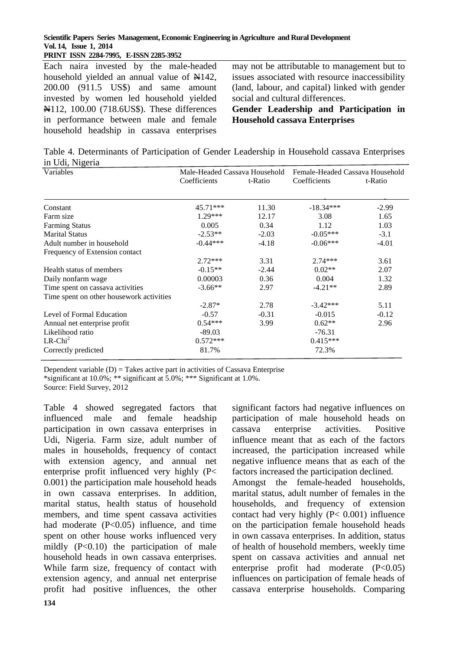#### **Scientific Papers Series Management, Economic Engineering in Agriculture and Rural Development Vol. 14, Issue 1, 2014 PRINT ISSN 2284-7995, E-ISSN 2285-3952**

Each naira invested by the male-headed household yielded an annual value of  $\frac{1}{2}$ , 200.00 (911.5 US\$) and same amount invested by women led household yielded N112, 100.00 (718.6US\$). These differences in performance between male and female household headship in cassava enterprises

may not be attributable to management but to issues associated with resource inaccessibility (land, labour, and capital) linked with gender social and cultural differences.

**Gender Leadership and Participation in Household cassava Enterprises**

Table 4. Determinants of Participation of Gender Leadership in Household cassava Enterprises in Udi, Nigeria

| Variables                                | Male-Headed Cassava Household |         | Female-Headed Cassava Household |         |
|------------------------------------------|-------------------------------|---------|---------------------------------|---------|
|                                          | Coefficients                  | t-Ratio | Coefficients                    | t-Ratio |
| Constant                                 | $45.71***$                    | 11.30   | $-18.34***$                     | $-2.99$ |
| Farm size                                | $1.29***$                     | 12.17   | 3.08                            | 1.65    |
| <b>Farming Status</b>                    | 0.005                         | 0.34    | 1.12                            | 1.03    |
| <b>Marital Status</b>                    | $-2.53**$                     | $-2.03$ | $-0.05***$                      | $-3.1$  |
| Adult number in household                | $-0.44***$                    | $-4.18$ | $-0.06***$                      | $-4.01$ |
| Frequency of Extension contact           |                               |         |                                 |         |
|                                          | $2.72***$                     | 3.31    | $2.74***$                       | 3.61    |
| Health status of members                 | $-0.15**$                     | $-2.44$ | $0.02**$                        | 2.07    |
| Daily nonfarm wage                       | 0.00003                       | 0.36    | 0.004                           | 1.32    |
| Time spent on cassava activities         | $-3.66**$                     | 2.97    | $-4.21**$                       | 2.89    |
| Time spent on other housework activities |                               |         |                                 |         |
|                                          | $-2.87*$                      | 2.78    | $-3.42***$                      | 5.11    |
| Level of Formal Education                | $-0.57$                       | $-0.31$ | $-0.015$                        | $-0.12$ |
| Annual net enterprise profit             | $0.54***$                     | 3.99    | $0.62**$                        | 2.96    |
| Likelihood ratio                         | $-89.03$                      |         | $-76.31$                        |         |
| $LR$ -Chi <sup>2</sup>                   | $0.572***$                    |         | $0.415***$                      |         |
| Correctly predicted                      | 81.7%                         |         | 72.3%                           |         |

Dependent variable  $(D) =$  Takes active part in activities of Cassava Enterprise

\*significant at 10.0%; \*\* significant at 5.0%; \*\*\* Significant at 1.0%.

Source: Field Survey, 2012

Table 4 showed segregated factors that influenced male and female headship participation in own cassava enterprises in Udi, Nigeria. Farm size, adult number of males in households, frequency of contact with extension agency, and annual net enterprise profit influenced very highly (P< 0.001) the participation male household heads in own cassava enterprises. In addition, marital status, health status of household members, and time spent cassava activities had moderate (P<0.05) influence, and time spent on other house works influenced very mildly  $(P<0.10)$  the participation of male household heads in own cassava enterprises. While farm size, frequency of contact with extension agency, and annual net enterprise profit had positive influences, the other significant factors had negative influences on participation of male household heads on cassava enterprise activities. Positive influence meant that as each of the factors increased, the participation increased while negative influence means that as each of the factors increased the participation declined. Amongst the female-headed households, marital status, adult number of females in the households, and frequency of extension contact had very highly  $(P< 0.001)$  influence

on the participation female household heads in own cassava enterprises. In addition, status of health of household members, weekly time spent on cassava activities and annual net enterprise profit had moderate (P<0.05) influences on participation of female heads of cassava enterprise households. Comparing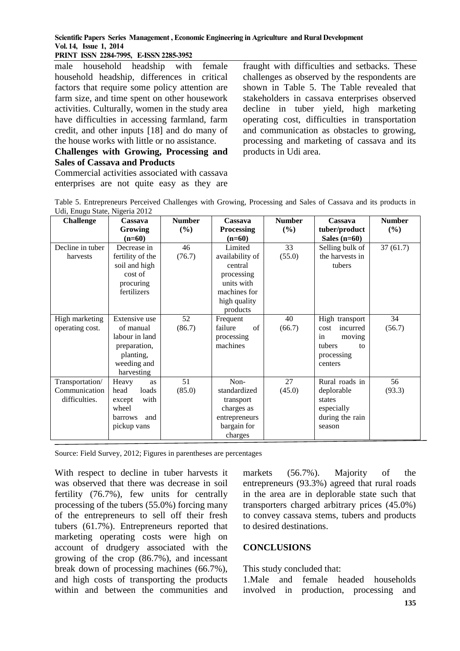### **PRINT ISSN 2284-7995, E-ISSN 2285-3952**

male household headship with female household headship, differences in critical factors that require some policy attention are farm size, and time spent on other housework activities. Culturally, women in the study area have difficulties in accessing farmland, farm credit, and other inputs [18] and do many of the house works with little or no assistance.

## **Challenges with Growing, Processing and Sales of Cassava and Products**

Commercial activities associated with cassava enterprises are not quite easy as they are

fraught with difficulties and setbacks. These challenges as observed by the respondents are shown in Table 5. The Table revealed that stakeholders in cassava enterprises observed decline in tuber yield, high marketing operating cost, difficulties in transportation and communication as obstacles to growing, processing and marketing of cassava and its products in Udi area.

Table 5. Entrepreneurs Perceived Challenges with Growing, Processing and Sales of Cassava and its products in Udi, Enugu State, Nigeria 2012

| $\alpha$ a, $\beta$ <sub>11</sub> $\beta$ <sub>14</sub> $\beta$ 11, $\beta$ <sub>15</sub> $\beta$ 11, $\alpha$ 2012<br><b>Challenge</b> | Cassava               | <b>Number</b> | Cassava           | <b>Number</b> | Cassava          | <b>Number</b> |
|-----------------------------------------------------------------------------------------------------------------------------------------|-----------------------|---------------|-------------------|---------------|------------------|---------------|
|                                                                                                                                         | Growing               | $(\%)$        | <b>Processing</b> | (%)           | tuber/product    | (%)           |
|                                                                                                                                         | $(n=60)$              |               | $(n=60)$          |               | Sales $(n=60)$   |               |
| Decline in tuber                                                                                                                        | Decrease in           | 46            | Limited           | 33            | Selling bulk of  | 37(61.7)      |
| harvests                                                                                                                                | fertility of the      | (76.7)        | availability of   | (55.0)        | the harvests in  |               |
|                                                                                                                                         | soil and high         |               | central           |               | tubers           |               |
|                                                                                                                                         | cost of               |               | processing        |               |                  |               |
|                                                                                                                                         | procuring             |               | units with        |               |                  |               |
|                                                                                                                                         | fertilizers           |               | machines for      |               |                  |               |
|                                                                                                                                         |                       |               | high quality      |               |                  |               |
|                                                                                                                                         |                       |               | products          |               |                  |               |
| High marketing                                                                                                                          | Extensive use         | 52            | Frequent          | 40            | High transport   | 34            |
| operating cost.                                                                                                                         | of manual             | (86.7)        | failure<br>of     | (66.7)        | incurred<br>cost | (56.7)        |
|                                                                                                                                         | labour in land        |               | processing        |               | in<br>moving     |               |
|                                                                                                                                         | preparation,          |               | machines          |               | tubers<br>to     |               |
|                                                                                                                                         | planting,             |               |                   |               | processing       |               |
|                                                                                                                                         | weeding and           |               |                   |               | centers          |               |
|                                                                                                                                         | harvesting            |               |                   |               |                  |               |
| Transportation/                                                                                                                         | Heavy<br>as           | 51            | Non-              | 27            | Rural roads in   | 56            |
| Communication                                                                                                                           | head<br>loads         | (85.0)        | standardized      | (45.0)        | deplorable       | (93.3)        |
| difficulties.                                                                                                                           | with<br>except        |               | transport         |               | states           |               |
|                                                                                                                                         | wheel                 |               | charges as        |               | especially       |               |
|                                                                                                                                         | and<br><b>barrows</b> |               | entrepreneurs     |               | during the rain  |               |
|                                                                                                                                         | pickup vans           |               | bargain for       |               | season           |               |
|                                                                                                                                         |                       |               | charges           |               |                  |               |

Source: Field Survey, 2012; Figures in parentheses are percentages

With respect to decline in tuber harvests it was observed that there was decrease in soil fertility (76.7%), few units for centrally processing of the tubers (55.0%) forcing many of the entrepreneurs to sell off their fresh tubers (61.7%). Entrepreneurs reported that marketing operating costs were high on account of drudgery associated with the growing of the crop (86.7%), and incessant break down of processing machines (66.7%), and high costs of transporting the products within and between the communities and

markets (56.7%). Majority of the entrepreneurs (93.3%) agreed that rural roads in the area are in deplorable state such that transporters charged arbitrary prices (45.0%) to convey cassava stems, tubers and products to desired destinations.

# **CONCLUSIONS**

This study concluded that:

1.Male and female headed households involved in production, processing and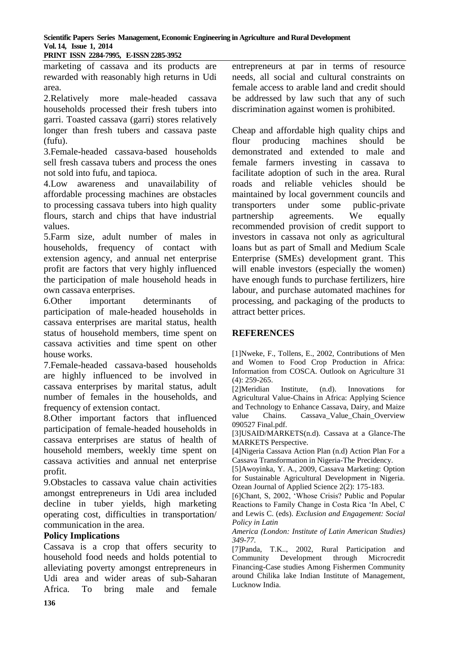**Scientific Papers Series Management, Economic Engineering in Agriculture and Rural Development Vol. 14, Issue 1, 2014 PRINT ISSN 2284-7995, E-ISSN 2285-3952** 

marketing of cassava and its products are rewarded with reasonably high returns in Udi area.

2.Relatively more male-headed cassava households processed their fresh tubers into garri. Toasted cassava (garri) stores relatively longer than fresh tubers and cassava paste (fufu).

3.Female-headed cassava-based households sell fresh cassava tubers and process the ones not sold into fufu, and tapioca.

4.Low awareness and unavailability of affordable processing machines are obstacles to processing cassava tubers into high quality flours, starch and chips that have industrial values.

5.Farm size, adult number of males in households, frequency of contact with extension agency, and annual net enterprise profit are factors that very highly influenced the participation of male household heads in own cassava enterprises.

6.Other important determinants of participation of male-headed households in cassava enterprises are marital status, health status of household members, time spent on cassava activities and time spent on other house works.

7.Female-headed cassava-based households are highly influenced to be involved in cassava enterprises by marital status, adult number of females in the households, and frequency of extension contact.

8.Other important factors that influenced participation of female-headed households in cassava enterprises are status of health of household members, weekly time spent on cassava activities and annual net enterprise profit.

9.Obstacles to cassava value chain activities amongst entrepreneurs in Udi area included decline in tuber yields, high marketing operating cost, difficulties in transportation/ communication in the area.

# **Policy Implications**

Cassava is a crop that offers security to household food needs and holds potential to alleviating poverty amongst entrepreneurs in Udi area and wider areas of sub-Saharan Africa. To bring male and female entrepreneurs at par in terms of resource needs, all social and cultural constraints on female access to arable land and credit should be addressed by law such that any of such discrimination against women is prohibited.

Cheap and affordable high quality chips and flour producing machines should be demonstrated and extended to male and female farmers investing in cassava to facilitate adoption of such in the area. Rural roads and reliable vehicles should be maintained by local government councils and transporters under some public-private partnership agreements. We equally recommended provision of credit support to investors in cassava not only as agricultural loans but as part of Small and Medium Scale Enterprise (SMEs) development grant. This will enable investors (especially the women) have enough funds to purchase fertilizers, hire labour, and purchase automated machines for processing, and packaging of the products to attract better prices.

# **REFERENCES**

[1]Nweke, F., Tollens, E., 2002, Contributions of Men and Women to Food Crop Production in Africa: Information from COSCA. Outlook on Agriculture 31 (4): 259-265.

[2]Meridian Institute, (n.d). Innovations for Agricultural Value-Chains in Africa: Applying Science and Technology to Enhance Cassava, Dairy, and Maize value Chains. Cassava Value Chain Overview 090527 Final.pdf.

[3]USAID/MARKETS(n.d). Cassava at a Glance-The MARKETS Perspective.

[4]Nigeria Cassava Action Plan (n.d) Action Plan For a Cassava Transformation in Nigeria-The Precidency.

[5]Awoyinka, Y. A., 2009, Cassava Marketing: Option for Sustainable Agricultural Development in Nigeria. Ozean Journal of Applied Science 2(2): 175-183.

[6]Chant, S, 2002, 'Whose Crisis? Public and Popular Reactions to Family Change in Costa Rica 'In Abel, C and Lewis C. (eds). *Exclusion and Engagement: Social Policy in Latin* 

*America (London: Institute of Latin American Studies) 349-77.*

[7]Panda, T.K.., 2002, Rural Participation and Community Development through Microcredit Financing-Case studies Among Fishermen Community around Chilika lake Indian Institute of Management, Lucknow India.